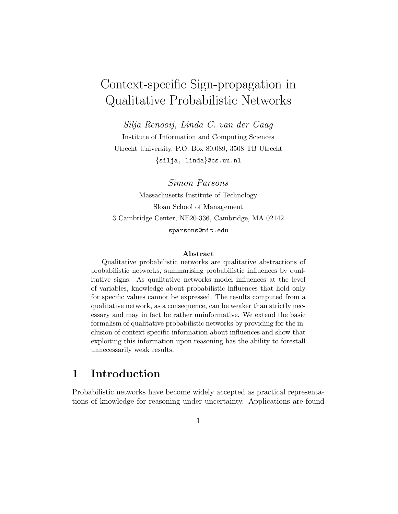# Cualitative Probabilistic Networks  $\sqrt{ }$  and  $\sqrt{ }$  and  $\sqrt{ }$  and  $\sqrt{ }$  and  $\sqrt{ }$  and  $\sqrt{ }$  and  $\sqrt{ }$  and  $\sqrt{ }$  and  $\sqrt{ }$  and  $\sqrt{ }$  and  $\sqrt{ }$  and  $\sqrt{ }$  and  $\sqrt{ }$  and  $\sqrt{ }$  and  $\sqrt{ }$  and  $\sqrt{ }$  and  $\sqrt{ }$  and  $\sqrt{ }$  and  $\sqrt{ }$  and  $\sqrt{ }$  and

Silja Renooij, Linda C. van der Gaag Institute of Information and Computing Sciences Utrecht University, P.O. Box 80.089, 3508 TB Utrecht {silja, linda}@cs.uu.nl

Simon Parsons Massachusetts Institute of Technology Sloan School of Management 3 Cambridge Center, NE20-336, Cambridge, MA 02142 sparsons@mit.edu

#### **Abstract**

Qualitative probabilistic networks are qualitative abstractions of probabilistic networks, summarising probabilistic influences by qualitative signs. As qualitative networks model influences at the level of variables, knowledge about probabilistic influences that hold only for specific values cannot be expressed. The results computed from a qualitative network, as a consequence, can be weaker than strictly necessary and may in fact be rather uninformative. We extend the basic formalism of qualitative probabilistic networks by providing for the inclusion of context-specific information about influences and show that exploiting this information upon reasoning has the ability to forestall unnecessarily weak results.

## **1 Introduction**

Probabilistic networks have become widely accepted as practical representations of knowledge for reasoning under uncertainty. Applications are found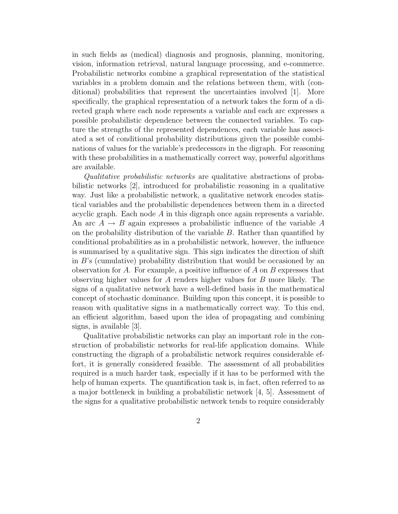in such fields as (medical) diagnosis and prognosis, planning, monitoring, vision, information retrieval, natural language processing, and e-commerce. Probabilistic networks combine a graphical representation of the statistical variables in a problem domain and the relations between them, with (conditional) probabilities that represent the uncertainties involved [1]. More specifically, the graphical representation of a network takes the form of a directed graph where each node represents a variable and each arc expresses a possible probabilistic dependence between the connected variables. To capture the strengths of the represented dependences, each variable has associated a set of conditional probability distributions given the possible combinations of values for the variable's predecessors in the digraph. For reasoning with these probabilities in a mathematically correct way, powerful algorithms are available.

Qualitative probabilistic networks are qualitative abstractions of probabilistic networks [2], introduced for probabilistic reasoning in a qualitative way. Just like a probabilistic network, a qualitative network encodes statistical variables and the probabilistic dependences between them in a directed acyclic graph. Each node  $A$  in this digraph once again represents a variable. An arc  $A \rightarrow B$  again expresses a probabilistic influence of the variable A on the probability distribution of the variable  $B$ . Rather than quantified by conditional probabilities as in a probabilistic network, however, the influence is summarised by a qualitative sign. This sign indicates the direction of shift in B's (cumulative) probability distribution that would be occasioned by an observation for A. For example, a positive influence of  $A$  on  $B$  expresses that observing higher values for A renders higher values for B more likely. The signs of a qualitative network have a well-defined basis in the mathematical concept of stochastic dominance. Building upon this concept, it is possible to reason with qualitative signs in a mathematically correct way. To this end, an efficient algorithm, based upon the idea of propagating and combining signs, is available [3].

Qualitative probabilistic networks can play an important role in the construction of probabilistic networks for real-life application domains. While constructing the digraph of a probabilistic network requires considerable effort, it is generally considered feasible. The assessment of all probabilities required is a much harder task, especially if it has to be performed with the help of human experts. The quantification task is, in fact, often referred to as a major bottleneck in building a probabilistic network [4, 5]. Assessment of the signs for a qualitative probabilistic network tends to require considerably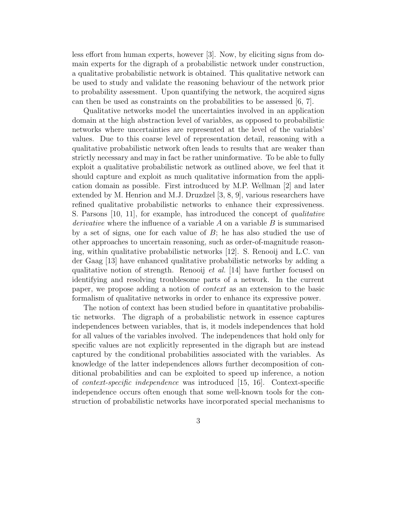less effort from human experts, however [3]. Now, by eliciting signs from domain experts for the digraph of a probabilistic network under construction, a qualitative probabilistic network is obtained. This qualitative network can be used to study and validate the reasoning behaviour of the network prior to probability assessment. Upon quantifying the network, the acquired signs can then be used as constraints on the probabilities to be assessed [6, 7].

Qualitative networks model the uncertainties involved in an application domain at the high abstraction level of variables, as opposed to probabilistic networks where uncertainties are represented at the level of the variables' values. Due to this coarse level of representation detail, reasoning with a qualitative probabilistic network often leads to results that are weaker than strictly necessary and may in fact be rather uninformative. To be able to fully exploit a qualitative probabilistic network as outlined above, we feel that it should capture and exploit as much qualitative information from the application domain as possible. First introduced by M.P. Wellman [2] and later extended by M. Henrion and M.J. Druzdzel [3, 8, 9], various researchers have refined qualitative probabilistic networks to enhance their expressiveness. S. Parsons [10, 11], for example, has introduced the concept of qualitative derivative where the influence of a variable  $A$  on a variable  $B$  is summarised by a set of signs, one for each value of  $B$ ; he has also studied the use of other approaches to uncertain reasoning, such as order-of-magnitude reasoning, within qualitative probabilistic networks [12]. S. Renooij and L.C. van der Gaag [13] have enhanced qualitative probabilistic networks by adding a qualitative notion of strength. Renooij *et al.* [14] have further focused on identifying and resolving troublesome parts of a network. In the current paper, we propose adding a notion of context as an extension to the basic formalism of qualitative networks in order to enhance its expressive power.

The notion of context has been studied before in quantitative probabilistic networks. The digraph of a probabilistic network in essence captures independences between variables, that is, it models independences that hold for all values of the variables involved. The independences that hold only for specific values are not explicitly represented in the digraph but are instead captured by the conditional probabilities associated with the variables. As knowledge of the latter independences allows further decomposition of conditional probabilities and can be exploited to speed up inference, a notion of context-specific independence was introduced [15, 16]. Context-specific independence occurs often enough that some well-known tools for the construction of probabilistic networks have incorporated special mechanisms to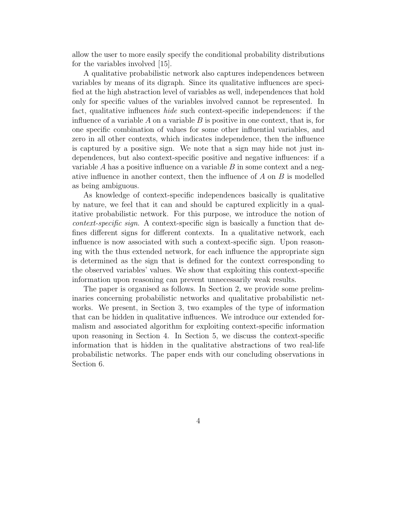allow the user to more easily specify the conditional probability distributions for the variables involved [15].

A qualitative probabilistic network also captures independences between variables by means of its digraph. Since its qualitative influences are specified at the high abstraction level of variables as well, independences that hold only for specific values of the variables involved cannot be represented. In fact, qualitative influences hide such context-specific independences: if the influence of a variable  $A$  on a variable  $B$  is positive in one context, that is, for one specific combination of values for some other influential variables, and zero in all other contexts, which indicates independence, then the influence is captured by a positive sign. We note that a sign may hide not just independences, but also context-specific positive and negative influences: if a variable  $A$  has a positive influence on a variable  $B$  in some context and a negative influence in another context, then the influence of A on B is modelled as being ambiguous.

As knowledge of context-specific independences basically is qualitative by nature, we feel that it can and should be captured explicitly in a qualitative probabilistic network. For this purpose, we introduce the notion of context-specific sign. A context-specific sign is basically a function that defines different signs for different contexts. In a qualitative network, each influence is now associated with such a context-specific sign. Upon reasoning with the thus extended network, for each influence the appropriate sign is determined as the sign that is defined for the context corresponding to the observed variables' values. We show that exploiting this context-specific information upon reasoning can prevent unnecessarily weak results.

The paper is organised as follows. In Section 2, we provide some preliminaries concerning probabilistic networks and qualitative probabilistic networks. We present, in Section 3, two examples of the type of information that can be hidden in qualitative influences. We introduce our extended formalism and associated algorithm for exploiting context-specific information upon reasoning in Section 4. In Section 5, we discuss the context-specific information that is hidden in the qualitative abstractions of two real-life probabilistic networks. The paper ends with our concluding observations in Section 6.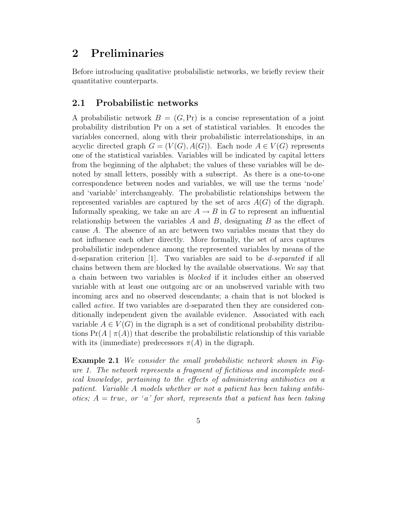## **2 Preliminaries**

Before introducing qualitative probabilistic networks, we briefly review their quantitative counterparts.

#### **2.1 Probabilistic networks**

A probabilistic network  $B = (G, Pr)$  is a concise representation of a joint probability distribution Pr on a set of statistical variables. It encodes the variables concerned, along with their probabilistic interrelationships, in an acyclic directed graph  $G = (V(G), A(G))$ . Each node  $A \in V(G)$  represents one of the statistical variables. Variables will be indicated by capital letters from the beginning of the alphabet; the values of these variables will be denoted by small letters, possibly with a subscript. As there is a one-to-one correspondence between nodes and variables, we will use the terms 'node' and 'variable' interchangeably. The probabilistic relationships between the represented variables are captured by the set of arcs  $A(G)$  of the digraph. Informally speaking, we take an arc  $A \rightarrow B$  in G to represent an influential relationship between the variables  $A$  and  $B$ , designating  $B$  as the effect of cause A. The absence of an arc between two variables means that they do not influence each other directly. More formally, the set of arcs captures probabilistic independence among the represented variables by means of the d-separation criterion  $|1|$ . Two variables are said to be *d-separated* if all chains between them are blocked by the available observations. We say that a chain between two variables is blocked if it includes either an observed variable with at least one outgoing arc or an unobserved variable with two incoming arcs and no observed descendants; a chain that is not blocked is called active. If two variables are d-separated then they are considered conditionally independent given the available evidence. Associated with each variable  $A \in V(G)$  in the digraph is a set of conditional probability distributions  $Pr(A \mid \pi(A))$  that describe the probabilistic relationship of this variable with its (immediate) predecessors  $\pi(A)$  in the digraph.

**Example 2.1** We consider the small probabilistic network shown in Figure 1. The network represents a fragment of fictitious and incomplete medical knowledge, pertaining to the effects of administering antibiotics on a patient. Variable A models whether or not a patient has been taking antibiotics;  $A = true$ , or 'a' for short, represents that a patient has been taking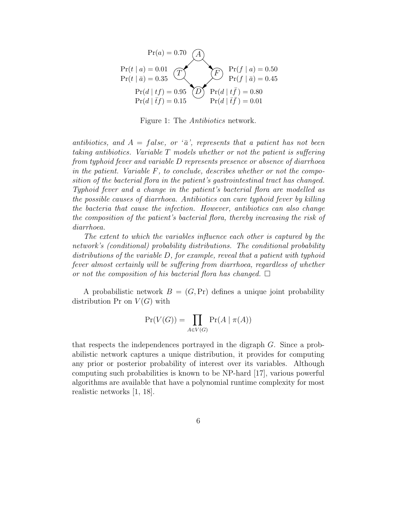

Figure 1: The Antibiotics network.

antibiotics, and  $A = false$ , or  $\overline{a}$ , represents that a patient has not been taking antibiotics. Variable T models whether or not the patient is suffering from typhoid fever and variable D represents presence or absence of diarrhoea in the patient. Variable  $F$ , to conclude, describes whether or not the composition of the bacterial flora in the patient's gastrointestinal tract has changed. Typhoid fever and a change in the patient's bacterial flora are modelled as the possible causes of diarrhoea. Antibiotics can cure typhoid fever by killing the bacteria that cause the infection. However, antibiotics can also change the composition of the patient's bacterial flora, thereby increasing the risk of diarrhoea.

The extent to which the variables influence each other is captured by the network's (conditional) probability distributions. The conditional probability distributions of the variable D, for example, reveal that a patient with typhoid fever almost certainly will be suffering from diarrhoea, regardless of whether or not the composition of his bacterial flora has changed.  $\Box$ 

A probabilistic network  $B = (G, Pr)$  defines a unique joint probability distribution Pr on  $V(G)$  with

$$
\Pr(V(G)) = \prod_{A \in V(G)} \Pr(A \mid \pi(A))
$$

that respects the independences portrayed in the digraph G. Since a probabilistic network captures a unique distribution, it provides for computing any prior or posterior probability of interest over its variables. Although computing such probabilities is known to be NP-hard [17], various powerful algorithms are available that have a polynomial runtime complexity for most realistic networks [1, 18].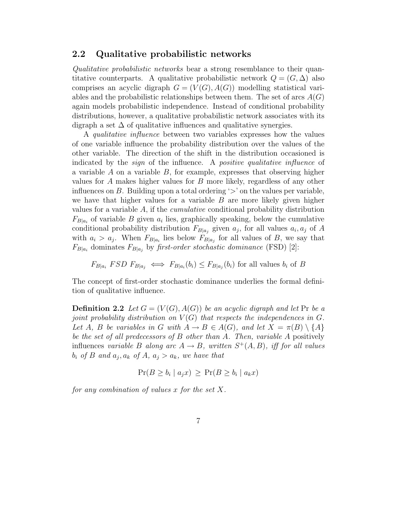#### **2.2 Qualitative probabilistic networks**

Qualitative probabilistic networks bear a strong resemblance to their quantitative counterparts. A qualitative probabilistic network  $Q = (G, \Delta)$  also comprises an acyclic digraph  $G = (V(G), A(G))$  modelling statistical variables and the probabilistic relationships between them. The set of arcs  $A(G)$ again models probabilistic independence. Instead of conditional probability distributions, however, a qualitative probabilistic network associates with its digraph a set  $\Delta$  of qualitative influences and qualitative synergies.

A qualitative influence between two variables expresses how the values of one variable influence the probability distribution over the values of the other variable. The direction of the shift in the distribution occasioned is indicated by the *sign* of the influence. A *positive qualitative influence* of a variable  $A$  on a variable  $B$ , for example, expresses that observing higher values for A makes higher values for B more likely, regardless of any other influences on  $B$ . Building upon a total ordering ' $>$ ' on the values per variable, we have that higher values for a variable  $B$  are more likely given higher values for a variable A, if the cumulative conditional probability distribution  $F_{B|a_i}$  of variable B given  $a_i$  lies, graphically speaking, below the cumulative conditional probability distribution  $F_{B|a_i}$  given  $a_j$ , for all values  $a_i, a_j$  of A with  $a_i > a_j$ . When  $F_{B|a_i}$  lies below  $F_{B|a_j}$  for all values of B, we say that  $F_{B|a_i}$  dominates  $F_{B|a_j}$  by first-order stochastic dominance (FSD) [2]:

$$
F_{B|a_i}
$$
 FSD  $F_{B|a_j}$   $\iff$   $F_{B|a_i}(b_i) \leq F_{B|a_j}(b_i)$  for all values  $b_i$  of B

The concept of first-order stochastic dominance underlies the formal definition of qualitative influence.

**Definition 2.2** Let  $G = (V(G), A(G))$  be an acyclic digraph and let Pr be a joint probability distribution on  $V(G)$  that respects the independences in  $G$ . Let A, B be variables in G with  $A \to B \in A(G)$ , and let  $X = \pi(B) \setminus \{A\}$ be the set of all predecessors of B other than  $A$ . Then, variable  $A$  positively influences variable B along arc  $A \to B$ , written  $S^+(A, B)$ , iff for all values  $b_i$  of B and  $a_j, a_k$  of A,  $a_j > a_k$ , we have that

$$
Pr(B \ge b_i \mid a_j x) \ge Pr(B \ge b_i \mid a_k x)
$$

for any combination of values x for the set  $X$ .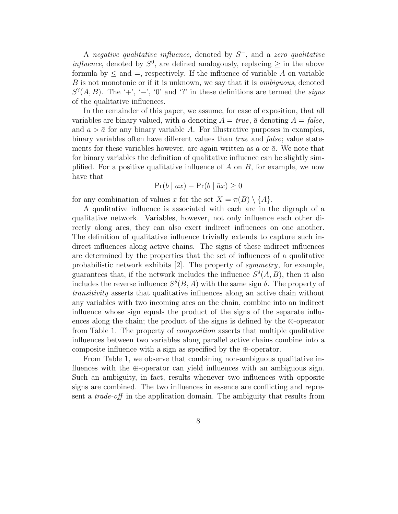A negative qualitative influence, denoted by  $S^-$ , and a zero qualitative *influence*, denoted by  $S^0$ , are defined analogously, replacing  $\geq$  in the above formula by  $\leq$  and  $=$ , respectively. If the influence of variable A on variable B is not monotonic or if it is unknown, we say that it is *ambiguous*, denoted  $S^?$ (A, B). The '+', '-', '0' and '?' in these definitions are termed the signs of the qualitative influences.

In the remainder of this paper, we assume, for ease of exposition, that all variables are binary valued, with a denoting  $A = true$ ,  $\bar{a}$  denoting  $A = false$ , and  $a > \bar{a}$  for any binary variable A. For illustrative purposes in examples, binary variables often have different values than *true* and *false*; value statements for these variables however, are again written as a or  $\bar{a}$ . We note that for binary variables the definition of qualitative influence can be slightly simplified. For a positive qualitative influence of  $A$  on  $B$ , for example, we now have that

$$
Pr(b \mid ax) - Pr(b \mid \bar{a}x) \ge 0
$$

for any combination of values x for the set  $X = \pi(B) \setminus \{A\}.$ 

A qualitative influence is associated with each arc in the digraph of a qualitative network. Variables, however, not only influence each other directly along arcs, they can also exert indirect influences on one another. The definition of qualitative influence trivially extends to capture such indirect influences along active chains. The signs of these indirect influences are determined by the properties that the set of influences of a qualitative probabilistic network exhibits [2]. The property of symmetry, for example, guarantees that, if the network includes the influence  $S^{\delta}(A, B)$ , then it also includes the reverse influence  $S^{\delta}(B, A)$  with the same sign  $\delta$ . The property of transitivity asserts that qualitative influences along an active chain without any variables with two incoming arcs on the chain, combine into an indirect influence whose sign equals the product of the signs of the separate influences along the chain; the product of the signs is defined by the  $\otimes$ -operator from Table 1. The property of composition asserts that multiple qualitative influences between two variables along parallel active chains combine into a composite influence with a sign as specified by the ⊕-operator.

From Table 1, we observe that combining non-ambiguous qualitative influences with the ⊕-operator can yield influences with an ambiguous sign. Such an ambiguity, in fact, results whenever two influences with opposite signs are combined. The two influences in essence are conflicting and represent a trade-off in the application domain. The ambiguity that results from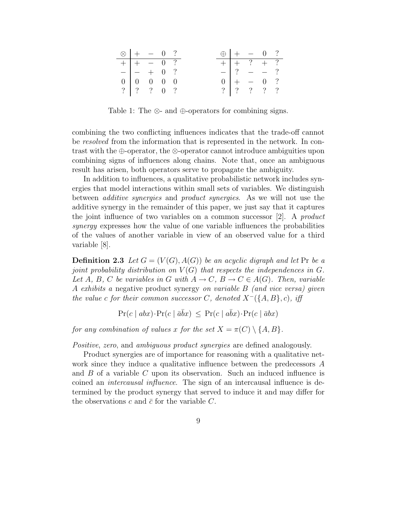|  | $\otimes$ + - 0 ?                                  |  |  | $\oplus$ + - 0 ? |  |  |
|--|----------------------------------------------------|--|--|------------------|--|--|
|  | $+$   + - 0 ?                                      |  |  | $+$   + ? + ?    |  |  |
|  | $-$   $-$ + 0 ?                                    |  |  | $-1?$ - -?       |  |  |
|  | $0 \begin{array}{ ccc } 0 & 0 & 0 & 0 \end{array}$ |  |  | $0 + - 0$ ?      |  |  |
|  | $?$ $?$ $?$ 0 ?                                    |  |  | ?  ?  ? ?        |  |  |

Table 1: The  $\otimes$ - and  $\oplus$ -operators for combining signs.

combining the two conflicting influences indicates that the trade-off cannot be resolved from the information that is represented in the network. In contrast with the ⊕-operator, the ⊗-operator cannot introduce ambiguities upon combining signs of influences along chains. Note that, once an ambiguous result has arisen, both operators serve to propagate the ambiguity.

In addition to influences, a qualitative probabilistic network includes synergies that model interactions within small sets of variables. We distinguish between additive synergies and product synergies. As we will not use the additive synergy in the remainder of this paper, we just say that it captures the joint influence of two variables on a common successor [2]. A *product* synergy expresses how the value of one variable influences the probabilities of the values of another variable in view of an observed value for a third variable [8].

**Definition 2.3** Let  $G = (V(G), A(G))$  be an acyclic digraph and let Pr be a joint probability distribution on  $V(G)$  that respects the independences in G. Let A, B, C be variables in G with  $A \to C$ ,  $B \to C \in A(G)$ . Then, variable A exhibits a negative product synergy on variable B (and vice versa) given the value c for their common successor C, denoted  $X^{-}(\{A, B\}, c)$ , iff

$$
Pr(c | abx) \cdot Pr(c | \bar{a}\bar{b}x) \leq Pr(c | a\bar{b}x) \cdot Pr(c | \bar{a}bx)
$$

for any combination of values x for the set  $X = \pi(C) \setminus \{A, B\}.$ 

Positive, zero, and ambiguous product synergies are defined analogously.

Product synergies are of importance for reasoning with a qualitative network since they induce a qualitative influence between the predecessors A and B of a variable C upon its observation. Such an induced influence is coined an intercausal influence. The sign of an intercausal influence is determined by the product synergy that served to induce it and may differ for the observations c and  $\bar{c}$  for the variable C.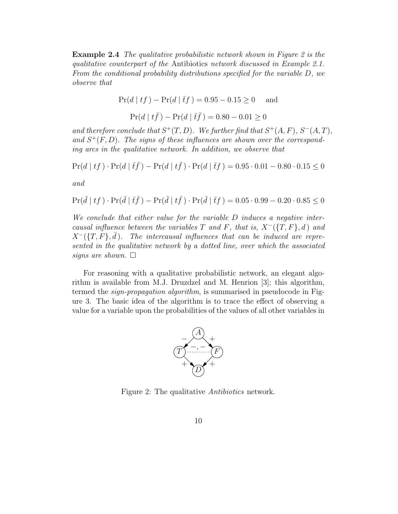**Example 2.4** The qualitative probabilistic network shown in Figure 2 is the qualitative counterpart of the Antibiotics network discussed in Example 2.1. From the conditional probability distributions specified for the variable D, we observe that

> $Pr(d | tf) - Pr(d | \bar{t}f) = 0.95 - 0.15 \ge 0$  and  $Pr(d | t\bar{f}) - Pr(d | \bar{t}\bar{f}) = 0.80 - 0.01 \ge 0$

and therefore conclude that  $S^+(T,D)$ . We further find that  $S^+(A, F)$ ,  $S^-(A, T)$ , and  $S^+(F, D)$ . The signs of these influences are shown over the corresponding arcs in the qualitative network. In addition, we observe that

$$
Pr(d | tf) \cdot Pr(d | \bar{tf}) - Pr(d | tf) \cdot Pr(d | \bar{tf}) = 0.95 \cdot 0.01 - 0.80 \cdot 0.15 \le 0
$$

and

$$
\Pr(\bar{d} \mid tf) \cdot \Pr(\bar{d} \mid \bar{t}\bar{f}) - \Pr(\bar{d} \mid t\bar{f}) \cdot \Pr(\bar{d} \mid \bar{t}f) = 0.05 \cdot 0.99 - 0.20 \cdot 0.85 \le 0
$$

We conclude that either value for the variable D induces a negative intercausal influence between the variables T and F, that is,  $X^{-}(\lbrace T, F \rbrace, d)$  and  $X^{-}(\lbrace T, F \rbrace, \bar{d}).$  The intercausal influences that can be induced are represented in the qualitative network by a dotted line, over which the associated signs are shown.  $\Box$ 

For reasoning with a qualitative probabilistic network, an elegant algorithm is available from M.J. Druzdzel and M. Henrion [3]; this algorithm, termed the sign-propagation algorithm, is summarised in pseudocode in Figure 3. The basic idea of the algorithm is to trace the effect of observing a value for a variable upon the probabilities of the values of all other variables in



Figure 2: The qualitative Antibiotics network.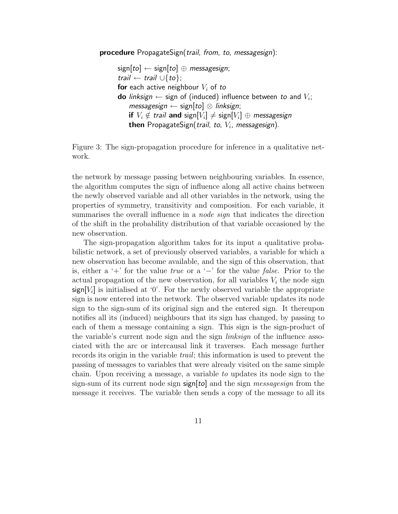**procedure** PropagateSign(trail, from, to, messagesign):

```
\text{sign}[to] \leftarrow \text{sign}[to] \oplus \text{messagesign};trail ← trail \cup \{ \text{to} \};
for each active neighbour V_i of to
do linksign \leftarrow sign of (induced) influence between to and V_i;
    messagesign \leftarrow sign[to] \otimes linksign;
    if V_i \notin \text{trail} and sign[V_i] \neq \text{sign}[V_i] \oplus messagesign
    then PropagateSign(trail, to, V_i, messagesign).
```
Figure 3: The sign-propagation procedure for inference in a qualitative network.

the network by message passing between neighbouring variables. In essence, the algorithm computes the sign of influence along all active chains between the newly observed variable and all other variables in the network, using the properties of symmetry, transitivity and composition. For each variable, it summarises the overall influence in a *node sign* that indicates the direction of the shift in the probability distribution of that variable occasioned by the new observation.

The sign-propagation algorithm takes for its input a qualitative probabilistic network, a set of previously observed variables, a variable for which a new observation has become available, and the sign of this observation, that is, either a '+' for the value *true* or a '−' for the value *false*. Prior to the actual propagation of the new observation, for all variables  $V_i$  the node sign  $\frac{\text{sign}[V_i]}{\text{is initialized at '0'.} }$  For the newly observed variable the appropriate sign is now entered into the network. The observed variable updates its node sign to the sign-sum of its original sign and the entered sign. It thereupon notifies all its (induced) neighbours that its sign has changed, by passing to each of them a message containing a sign. This sign is the sign-product of the variable's current node sign and the sign linksign of the influence associated with the arc or intercausal link it traverses. Each message further records its origin in the variable *trail*; this information is used to prevent the passing of messages to variables that were already visited on the same simple chain. Upon receiving a message, a variable to updates its node sign to the sign-sum of its current node sign sign[to] and the sign messagesign from the message it receives. The variable then sends a copy of the message to all its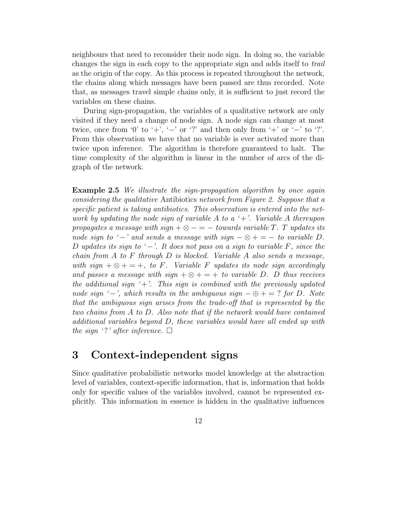neighbours that need to reconsider their node sign. In doing so, the variable changes the sign in each copy to the appropriate sign and adds itself to trail as the origin of the copy. As this process is repeated throughout the network, the chains along which messages have been passed are thus recorded. Note that, as messages travel simple chains only, it is sufficient to just record the variables on these chains.

During sign-propagation, the variables of a qualitative network are only visited if they need a change of node sign. A node sign can change at most twice, once from '0' to '+', '-' or '?' and then only from '+' or '-' to '?'. From this observation we have that no variable is ever activated more than twice upon inference. The algorithm is therefore guaranteed to halt. The time complexity of the algorithm is linear in the number of arcs of the digraph of the network.

**Example 2.5** We illustrate the sign-propagation algorithm by once again considering the qualitative Antibiotics network from Figure 2. Suppose that a specific patient is taking antibiotics. This observation is entered into the network by updating the node sign of variable A to  $a^+$ . Variable A thereupon propagates a message with sign +  $\otimes$  - = - towards variable T. T updates its node sign to ' $\overline{\phantom{a}}$  and sends a message with sign  $-\otimes + = -$  to variable D. D updates its sign to ' $-$ '. It does not pass on a sign to variable F, since the chain from  $A$  to  $F$  through  $D$  is blocked. Variable  $A$  also sends a message, with sign  $+\otimes +=+$ , to F. Variable F updates its node sign accordingly and passes a message with sign  $+\otimes += +$  to variable D. D thus receives the additional sign  $+$ . This sign is combined with the previously updated node sign ' −', which results in the ambiguous sign  $-\oplus$  + = ? for D. Note that the ambiguous sign arises from the trade-off that is represented by the two chains from A to D. Also note that if the network would have contained additional variables beyond D, these variables would have all ended up with the sign '?' after inference.  $\Box$ 

## **3 Context-independent signs**

Since qualitative probabilistic networks model knowledge at the abstraction level of variables, context-specific information, that is, information that holds only for specific values of the variables involved, cannot be represented explicitly. This information in essence is hidden in the qualitative influences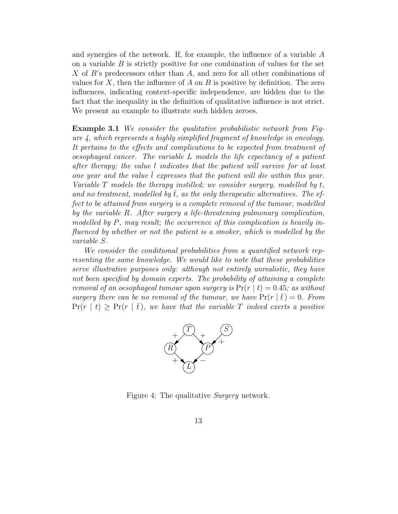and synergies of the network. If, for example, the influence of a variable A on a variable  $B$  is strictly positive for one combination of values for the set X of B's predecessors other than A, and zero for all other combinations of values for X, then the influence of A on B is positive by definition. The zero influences, indicating context-specific independence, are hidden due to the fact that the inequality in the definition of qualitative influence is not strict. We present an example to illustrate such hidden zeroes.

**Example 3.1** We consider the qualitative probabilistic network from Figure 4, which represents a highly simplified fragment of knowledge in oncology. It pertains to the effects and complications to be expected from treatment of oesophageal cancer. The variable L models the life expectancy of a patient after therapy; the value l indicates that the patient will survive for at least one year and the value  $l$  expresses that the patient will die within this year. Variable T models the therapy instilled; we consider surgery, modelled by t, and no treatment, modelled by  $\bar{t}$ , as the only therapeutic alternatives. The effect to be attained from surgery is a complete removal of the tumour, modelled by the variable R. After surgery a life-threatening pulmonary complication, modelled by P, may result; the occurrence of this complication is heavily influenced by whether or not the patient is a smoker, which is modelled by the variable S.

We consider the conditional probabilities from a quantified network representing the same knowledge. We would like to note that these probabilities serve illustrative purposes only: although not entirely unrealistic, they have not been specified by domain experts. The probability of attaining a complete removal of an oesophageal tumour upon surgery is  $Pr(r | t) = 0.45$ ; as without surgery there can be no removal of the tumour, we have  $Pr(r | \bar{t}) = 0$ . From  $Pr(r | t) \geq Pr(r | \overline{t})$ , we have that the variable T indeed exerts a positive



Figure 4: The qualitative Surgery network.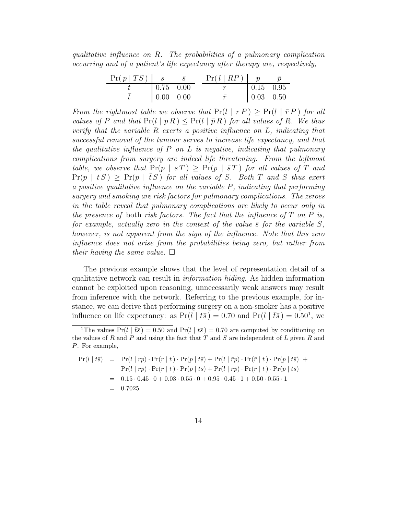qualitative influence on R. The probabilities of a pulmonary complication occurring and of a patient's life expectancy after therapy are, respectively,

| $Pr(p TS)$ s |                     | Pr(l   RP)   p |                                                 |  |
|--------------|---------------------|----------------|-------------------------------------------------|--|
|              | $0.75$ 0.00         |                | $\begin{array}{ c} 0.15 & 0.95 \end{array}$     |  |
|              | $  0.00 \quad 0.00$ |                | $\begin{array}{ c} 0.03 \quad 0.50 \end{array}$ |  |

From the rightmost table we observe that  $Pr(l | r P) \geq Pr(l | \bar{r} P)$  for all values of P and that  $Pr(l | p R) \leq Pr(l | \bar{p} R)$  for all values of R. We thus verify that the variable  $R$  exerts a positive influence on  $L$ , indicating that successful removal of the tumour serves to increase life expectancy, and that the qualitative influence of  $P$  on  $L$  is negative, indicating that pulmonary complications from surgery are indeed life threatening. From the leftmost table, we observe that  $Pr(p \mid sT) > Pr(p \mid \overline{s}T)$  for all values of T and  $Pr(p | t S) \geq Pr(p | t S)$  for all values of S. Both T and S thus exert a positive qualitative influence on the variable P, indicating that performing surgery and smoking are risk factors for pulmonary complications. The zeroes in the table reveal that pulmonary complications are likely to occur only in the presence of both risk factors. The fact that the influence of  $T$  on  $P$  is, for example, actually zero in the context of the value  $\bar{s}$  for the variable S, however, is not apparent from the sign of the influence. Note that this zero influence does not arise from the probabilities being zero, but rather from their having the same value.  $\Box$ 

The previous example shows that the level of representation detail of a qualitative network can result in information hiding. As hidden information cannot be exploited upon reasoning, unnecessarily weak answers may result from inference with the network. Referring to the previous example, for instance, we can derive that performing surgery on a non-smoker has a positive influence on life expectancy: as  $Pr(l | t\bar{s}) = 0.70$  and  $Pr(l | \bar{t}\bar{s}) = 0.50^1$ , we

$$
Pr(l | t\bar{s}) = Pr(l | rp) \cdot Pr(r | t) \cdot Pr(p | t\bar{s}) + Pr(l | \bar{r}p) \cdot Pr(\bar{r} | t) \cdot Pr(p | t\bar{s}) +
$$
  
\n
$$
Pr(l | r\bar{p}) \cdot Pr(r | t) \cdot Pr(\bar{p} | t\bar{s}) + Pr(l | \bar{r}\bar{p}) \cdot Pr(\bar{r} | t) \cdot Pr(\bar{p} | t\bar{s})
$$
  
\n= 0.15 \cdot 0.45 \cdot 0 + 0.03 \cdot 0.55 \cdot 0 + 0.95 \cdot 0.45 \cdot 1 + 0.50 \cdot 0.55 \cdot 1  
\n= 0.7025

<sup>&</sup>lt;sup>1</sup>The values  $Pr(l | \bar{t}\bar{s}) = 0.50$  and  $Pr(l | t\bar{s}) = 0.70$  are computed by conditioning on the values of R and P and using the fact that T and S are independent of L given R and P. For example,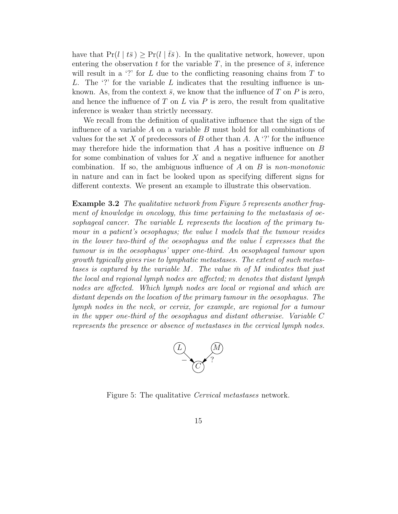have that  $Pr(l | t\bar{s}) \geq Pr(l | \bar{t}\bar{s})$ . In the qualitative network, however, upon entering the observation t for the variable  $T$ , in the presence of  $\bar{s}$ , inference will result in a '?' for  $L$  due to the conflicting reasoning chains from  $T$  to L. The  $\lq$  for the variable L indicates that the resulting influence is unknown. As, from the context  $\bar{s}$ , we know that the influence of T on P is zero, and hence the influence of T on L via P is zero, the result from qualitative inference is weaker than strictly necessary.

We recall from the definition of qualitative influence that the sign of the influence of a variable  $A$  on a variable  $B$  must hold for all combinations of values for the set X of predecessors of B other than A. A  $\cdot$ ? for the influence may therefore hide the information that  $A$  has a positive influence on  $B$ for some combination of values for X and a negative influence for another combination. If so, the ambiguous influence of A on B is non-monotonic in nature and can in fact be looked upon as specifying different signs for different contexts. We present an example to illustrate this observation.

**Example 3.2** The qualitative network from Figure 5 represents another fragment of knowledge in oncology, this time pertaining to the metastasis of oesophageal cancer. The variable L represents the location of the primary tumour in a patient's oesophagus; the value l models that the tumour resides in the lower two-third of the oesophagus and the value  $l$  expresses that the tumour is in the oesophagus' upper one-third. An oesophageal tumour upon growth typically gives rise to lymphatic metastases. The extent of such metastases is captured by the variable M. The value  $\bar{m}$  of M indicates that just the local and regional lymph nodes are affected; m denotes that distant lymph nodes are affected. Which lymph nodes are local or regional and which are distant depends on the location of the primary tumour in the oesophagus. The lymph nodes in the neck, or cervix, for example, are regional for a tumour in the upper one-third of the oesophagus and distant otherwise. Variable C represents the presence or absence of metastases in the cervical lymph nodes.



Figure 5: The qualitative Cervical metastases network.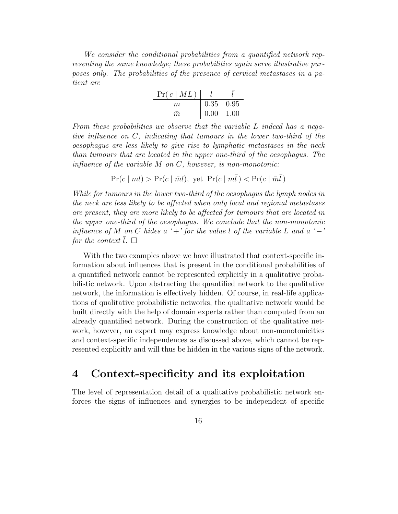We consider the conditional probabilities from a quantified network representing the same knowledge; these probabilities again serve illustrative purposes only. The probabilities of the presence of cervical metastases in a patient are

| Pr(c   ML) |            |        |
|------------|------------|--------|
| m          | 0.35       | 0.95   |
| $\bar{m}$  | $\pm 0.00$ | - 1.00 |

From these probabilities we observe that the variable L indeed has a negative influence on C, indicating that tumours in the lower two-third of the oesophagus are less likely to give rise to lymphatic metastases in the neck than tumours that are located in the upper one-third of the oesophagus. The influence of the variable  $M$  on  $C$ , however, is non-monotonic:

$$
Pr(c | ml) > Pr(c | \bar{ml}), \text{ yet } Pr(c | ml) < Pr(c | \bar{ml})
$$

While for tumours in the lower two-third of the oesophagus the lymph nodes in the neck are less likely to be affected when only local and regional metastases are present, they are more likely to be affected for tumours that are located in the upper one-third of the oesophagus. We conclude that the non-monotonic influence of M on C hides  $a^{\prime}$  +' for the value l of the variable L and  $a^{\prime}$  -' for the context  $l. \Box$ 

With the two examples above we have illustrated that context-specific information about influences that is present in the conditional probabilities of a quantified network cannot be represented explicitly in a qualitative probabilistic network. Upon abstracting the quantified network to the qualitative network, the information is effectively hidden. Of course, in real-life applications of qualitative probabilistic networks, the qualitative network would be built directly with the help of domain experts rather than computed from an already quantified network. During the construction of the qualitative network, however, an expert may express knowledge about non-monotonicities and context-specific independences as discussed above, which cannot be represented explicitly and will thus be hidden in the various signs of the network.

#### **4 Context-specificity and its exploitation**

The level of representation detail of a qualitative probabilistic network enforces the signs of influences and synergies to be independent of specific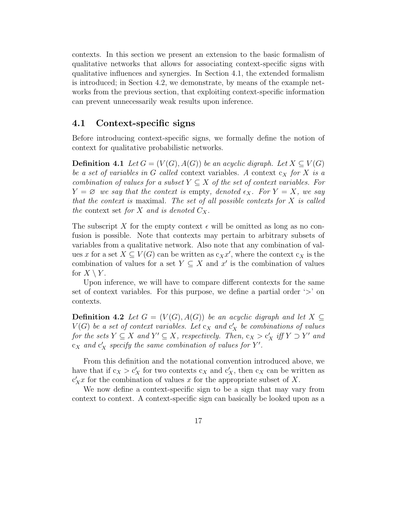contexts. In this section we present an extension to the basic formalism of qualitative networks that allows for associating context-specific signs with qualitative influences and synergies. In Section 4.1, the extended formalism is introduced; in Section 4.2, we demonstrate, by means of the example networks from the previous section, that exploiting context-specific information can prevent unnecessarily weak results upon inference.

#### **4.1 Context-specific signs**

Before introducing context-specific signs, we formally define the notion of context for qualitative probabilistic networks.

**Definition 4.1** Let  $G = (V(G), A(G))$  be an acyclic digraph. Let  $X \subseteq V(G)$ be a set of variables in G called context variables. A context  $c<sub>X</sub>$  for X is a combination of values for a subset  $Y \subseteq X$  of the set of context variables. For  $Y = \emptyset$  we say that the context is empty, denoted  $\epsilon_X$ . For  $Y = X$ , we say that the context is maximal. The set of all possible contexts for  $X$  is called the context set for X and is denoted  $C_X$ .

The subscript X for the empty context  $\epsilon$  will be omitted as long as no confusion is possible. Note that contexts may pertain to arbitrary subsets of variables from a qualitative network. Also note that any combination of values x for a set  $X \subseteq V(G)$  can be written as  $c_X x'$ , where the context  $c_X$  is the combination of values for a set  $Y \subseteq X$  and  $x'$  is the combination of values for  $X \setminus Y$ .

Upon inference, we will have to compare different contexts for the same set of context variables. For this purpose, we define a partial order '>' on contexts.

**Definition 4.2** Let  $G = (V(G), A(G))$  be an acyclic digraph and let  $X \subseteq$  $V(G)$  be a set of context variables. Let  $c_X$  and  $c'_X$  be combinations of values for the sets  $Y \subseteq X$  and  $Y' \subseteq X$ , respectively. Then,  $c_X > c'_X$  iff  $Y \supset Y'$  and  $c_X$  and  $c'_X$  specify the same combination of values for Y'.

From this definition and the notational convention introduced above, we have that if  $c_X > c'_X$  for two contexts  $c_X$  and  $c'_X$ , then  $c_X$  can be written as  $c'_{X}x$  for the combination of values x for the appropriate subset of X.

We now define a context-specific sign to be a sign that may vary from context to context. A context-specific sign can basically be looked upon as a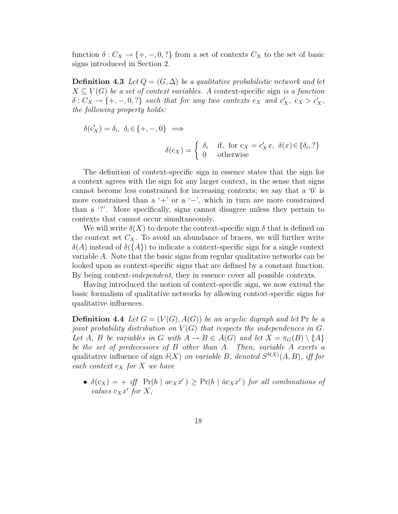function  $\delta: C_X \to \{+,-,0,?\}$  from a set of contexts  $C_X$  to the set of basic signs introduced in Section 2.

**Definition 4.3** Let  $Q = (G, \Delta)$  be a qualitative probabilistic network and let  $X \subseteq V(G)$  be a set of context variables. A context-specific sign is a function  $\delta: C_X \to \{+, -, 0, ?\}$  such that for any two contexts  $c_X$  and  $c'_X$ ,  $c_X > c'_X$ , the following property holds:

$$
\delta(c'_X) = \delta_i, \ \delta_i \in \{+, -, 0\} \implies
$$

$$
\delta(c_X) = \begin{cases} \delta_i & \text{if, for } c_X = c'_X x, \ \delta(x) \in \{\delta_i, ?\} \\ 0 & \text{otherwise} \end{cases}
$$

The definition of context-specific sign in essence states that the sign for a context agrees with the sign for any larger context, in the sense that signs cannot become less constrained for increasing contexts; we say that a '0' is more constrained than a '+' or a '-', which in turn are more constrained than a '?'. More specifically, signs cannot disagree unless they pertain to contexts that cannot occur simultaneously.

We will write  $\delta(X)$  to denote the context-specific sign  $\delta$  that is defined on the context set  $C_X$ . To avoid an abundance of braces, we will further write  $\delta(A)$  instead of  $\delta({A})$  to indicate a context-specific sign for a single context variable A. Note that the basic signs from regular qualitative networks can be looked upon as context-specific signs that are defined by a constant function. By being context-*independent*, they in essence cover all possible contexts.

Having introduced the notion of context-specific sign, we now extend the basic formalism of qualitative networks by allowing context-specific signs for qualitative influences.

**Definition 4.4** Let  $G = (V(G), A(G))$  be an acyclic digraph and let Pr be a joint probability distribution on  $V(G)$  that respects the independences in  $G$ . Let A, B be variables in G with  $A \to B \in A(G)$  and let  $X = \pi_G(B) \setminus \{A\}$ be the set of predecessors of B other than A. Then, variable A exerts a qualitative influence of sign  $\delta(X)$  on variable B, denoted  $S^{\delta(X)}(A, B)$ , iff for each context  $c_X$  for X we have

•  $\delta(c_X) = + i f f$  Pr(b |  $ac_X x'$ )  $\geq$  Pr(b |  $\bar{a} c_X x'$ ) for all combinations of values  $c_X x'$  for X;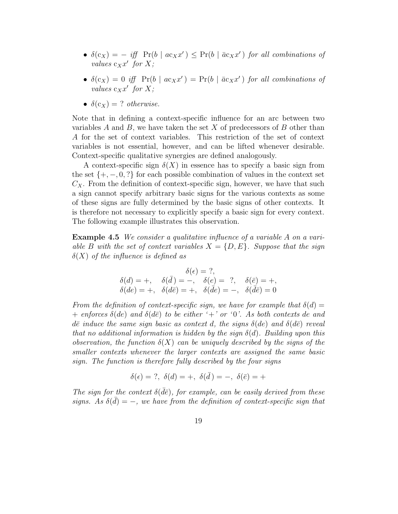- $\delta(c_X) = -i \text{if } Pr(b \mid ac_X x') \leq Pr(b \mid \bar{a}c_X x')$  for all combinations of values  $c_X x'$  for X;
- $\delta(c_X)=0$  iff  $Pr(b | ac_X x') = Pr(b | \bar{a}c_X x')$  for all combinations of values  $c_X x'$  for X;
- $\delta(c_X)=$ ? otherwise.

Note that in defining a context-specific influence for an arc between two variables  $A$  and  $B$ , we have taken the set  $X$  of predecessors of  $B$  other than A for the set of context variables. This restriction of the set of context variables is not essential, however, and can be lifted whenever desirable. Context-specific qualitative synergies are defined analogously.

A context-specific sign  $\delta(X)$  in essence has to specify a basic sign from the set  $\{+, -, 0, ?\}$  for each possible combination of values in the context set  $C_X$ . From the definition of context-specific sign, however, we have that such a sign cannot specify arbitrary basic signs for the various contexts as some of these signs are fully determined by the basic signs of other contexts. It is therefore not necessary to explicitly specify a basic sign for every context. The following example illustrates this observation.

**Example 4.5** We consider a qualitative influence of a variable A on a variable B with the set of context variables  $X = \{D, E\}$ . Suppose that the sign  $\delta(X)$  of the influence is defined as

$$
\begin{aligned}\n\delta(\epsilon) &= ?, \\
\delta(d) &= +, \quad \delta(\bar{d}) = -, \quad \delta(e) = ?, \quad \delta(\bar{e}) = +, \\
\delta(de) &= +, \quad \delta(d\bar{e}) = +, \quad \delta(\bar{de}) = -, \quad \delta(\bar{d}\bar{e}) = 0\n\end{aligned}
$$

From the definition of context-specific sign, we have for example that  $\delta(d)$  $+$  enforces  $\delta(de)$  and  $\delta(de)$  to be either ' $+$ ' or '0'. As both contexts de and  $d\bar{e}$  induce the same sign basic as context d, the signs  $\delta(de)$  and  $\delta(d\bar{e})$  reveal that no additional information is hidden by the sign  $\delta(d)$ . Building upon this observation, the function  $\delta(X)$  can be uniquely described by the signs of the smaller contexts whenever the larger contexts are assigned the same basic sign. The function is therefore fully described by the four signs

$$
\delta(\epsilon) = ?, \ \delta(d) = +, \ \delta(\bar{d}) = -, \ \delta(\bar{e}) = +
$$

The sign for the context  $\delta(\bar{d}\bar{e})$ , for example, can be easily derived from these signs. As  $\delta(\bar{d}) = -$ , we have from the definition of context-specific sign that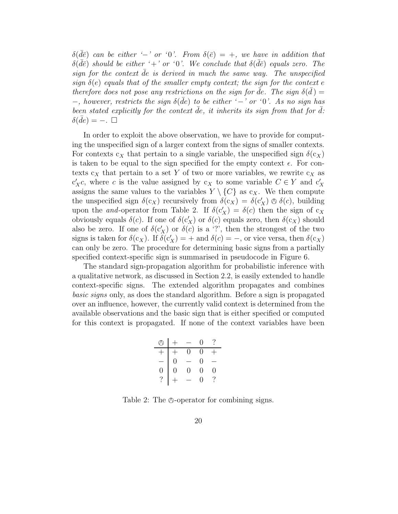$\delta(\bar{d}\bar{e})$  can be either '−' or '0'. From  $\delta(\bar{e}) = +$ , we have in addition that  $\delta(\bar{d}\bar{e})$  should be either '+' or '0'. We conclude that  $\delta(\bar{d}\bar{e})$  equals zero. The  $sign$  for the context  $\bar{d}e$  is derived in much the same way. The unspecified sign  $\delta(e)$  equals that of the smaller empty context; the sign for the context e therefore does not pose any restrictions on the sign for  $\overline{de}$ . The sign  $\delta(\overline{d}) =$  $-$ , however, restricts the sign  $\delta(\bar{d}e)$  to be either ' $-$ ' or '0'. As no sign has been stated explicitly for the context  $\bar{d}e$ , it inherits its sign from that for  $\bar{d}$ :  $\delta(\bar{d}e) = -d \Box$ 

In order to exploit the above observation, we have to provide for computing the unspecified sign of a larger context from the signs of smaller contexts. For contexts  $c_X$  that pertain to a single variable, the unspecified sign  $\delta(c_X)$ is taken to be equal to the sign specified for the empty context  $\epsilon$ . For contexts  $c_X$  that pertain to a set Y of two or more variables, we rewrite  $c_X$  as  $c_X'c$ , where c is the value assigned by  $c_X$  to some variable  $C \in Y$  and  $c_X'$ assigns the same values to the variables  $Y \setminus \{C\}$  as  $c_X$ . We then compute the unspecified sign  $\delta(c_X)$  recursively from  $\delta(c_X) = \delta(c'_X) \otimes \delta(c)$ , building upon the and-operator from Table 2. If  $\delta(c'_X) = \delta(c)$  then the sign of  $c_X$ obviously equals  $\delta(c)$ . If one of  $\delta(c'_X)$  or  $\delta(c)$  equals zero, then  $\delta(c_X)$  should also be zero. If one of  $\delta(c'_X)$  or  $\delta(c)$  is a '?', then the strongest of the two signs is taken for  $\delta(c_X)$ . If  $\delta(c'_X) = +$  and  $\delta(c) = -$ , or vice versa, then  $\delta(c_X)$ can only be zero. The procedure for determining basic signs from a partially specified context-specific sign is summarised in pseudocode in Figure 6.

The standard sign-propagation algorithm for probabilistic inference with a qualitative network, as discussed in Section 2.2, is easily extended to handle context-specific signs. The extended algorithm propagates and combines basic signs only, as does the standard algorithm. Before a sign is propagated over an influence, however, the currently valid context is determined from the available observations and the basic sign that is either specified or computed for this context is propagated. If none of the context variables have been

$$
\begin{array}{c|cccc}\n\oslash & + & - & 0 & ? \\
+ & + & 0 & 0 & + \\
- & 0 & - & 0 & - \\
0 & 0 & 0 & 0 & 0 \\
? & + & - & 0 & ?\n\end{array}
$$

Table 2: The  $\oslash$ -operator for combining signs.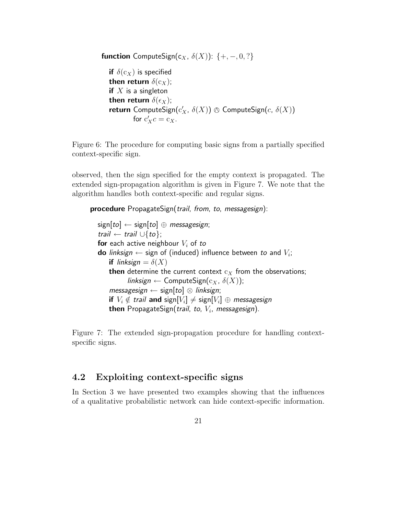```
function ComputeSign(c_X, \delta(X)): {+, -, 0, ?}
   if \delta(c_X) is specified
   then return \delta(c_X);
   if X is a singleton
   then return \delta(\epsilon_X);
   \mathsf{return}\ \mathsf{ComputeSign}(c'_X,\, \delta(X))\otimes \mathsf{ComputeSign}(c,\, \delta(X))for c_X'c = c_X.
```
Figure 6: The procedure for computing basic signs from a partially specified context-specific sign.

observed, then the sign specified for the empty context is propagated. The extended sign-propagation algorithm is given in Figure 7. We note that the algorithm handles both context-specific and regular signs.

```
procedure PropagateSign(trail, from, to, messagesign):
```

```
\text{sign}[to] \leftarrow \text{sign}[to] \oplus \text{mess.}trail ← trail \cup \{ to \};
for each active neighbour V_i of to
do linksign \leftarrow sign of (induced) influence between to and V_i;
    if linksign = \delta(X)then determine the current context c_X from the observations;
            linksign \leftarrow ComputeSign(c_X, \delta(X));
    messagesign \leftarrow sign[to] \otimes linksign;
    if V_i \notin \text{trail} and sign[V_i] \neq \text{sign}[V_i] \oplus \text{messagesign}then PropagateSign(trail, to, V_i, messagesign).
```
Figure 7: The extended sign-propagation procedure for handling contextspecific signs.

#### **4.2 Exploiting context-specific signs**

In Section 3 we have presented two examples showing that the influences of a qualitative probabilistic network can hide context-specific information.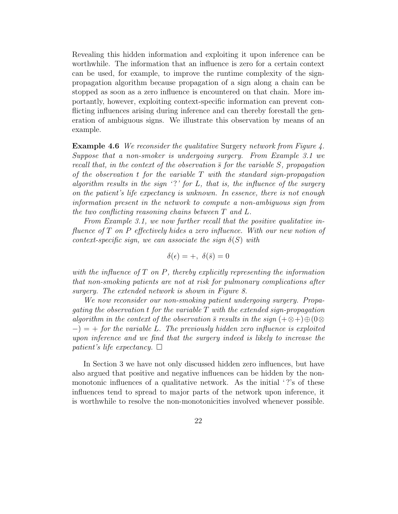Revealing this hidden information and exploiting it upon inference can be worthwhile. The information that an influence is zero for a certain context can be used, for example, to improve the runtime complexity of the signpropagation algorithm because propagation of a sign along a chain can be stopped as soon as a zero influence is encountered on that chain. More importantly, however, exploiting context-specific information can prevent conflicting influences arising during inference and can thereby forestall the generation of ambiguous signs. We illustrate this observation by means of an example.

**Example 4.6** We reconsider the qualitative Surgery network from Figure 4. Suppose that a non-smoker is undergoing surgery. From Example 3.1 we recall that, in the context of the observation  $\overline{s}$  for the variable S, propagation of the observation  $t$  for the variable  $T$  with the standard sign-propagation algorithm results in the sign  $\lq$  for L, that is, the influence of the surgery on the patient's life expectancy is unknown. In essence, there is not enough information present in the network to compute a non-ambiguous sign from the two conflicting reasoning chains between  $T$  and  $L$ .

From Example 3.1, we now further recall that the positive qualitative influence of T on P effectively hides a zero influence. With our new notion of context-specific sign, we can associate the sign  $\delta(S)$  with

$$
\delta(\epsilon) = +, \ \delta(\bar{s}) = 0
$$

with the influence of  $T$  on  $P$ , thereby explicitly representing the information that non-smoking patients are not at risk for pulmonary complications after surgery. The extended network is shown in Figure 8.

We now reconsider our non-smoking patient undergoing surgery. Propagating the observation  $t$  for the variable  $T$  with the extended sign-propagation algorithm in the context of the observation  $\bar{s}$  results in the sign  $(+\otimes+) \oplus (0\otimes)$  $-$ ) = + for the variable L. The previously hidden zero influence is exploited upon inference and we find that the surgery indeed is likely to increase the patient's life expectancy.  $\Box$ 

In Section 3 we have not only discussed hidden zero influences, but have also argued that positive and negative influences can be hidden by the nonmonotonic influences of a qualitative network. As the initial '?'s of these influences tend to spread to major parts of the network upon inference, it is worthwhile to resolve the non-monotonicities involved whenever possible.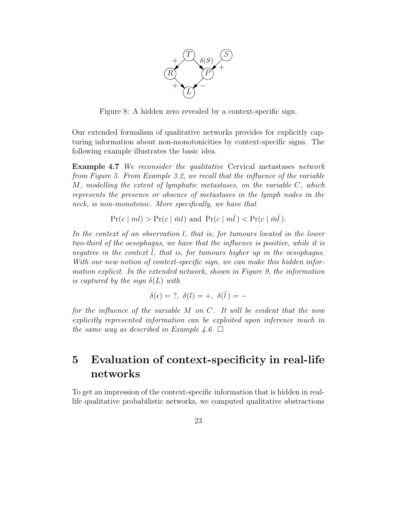

Figure 8: A hidden zero revealed by a context-specific sign.

Our extended formalism of qualitative networks provides for explicitly capturing information about non-monotonicities by context-specific signs. The following example illustrates the basic idea.

**Example 4.7** We reconsider the qualitative Cervical metastases network from Figure 5. From Example 3.2, we recall that the influence of the variable M, modelling the extent of lymphatic metastases, on the variable C, which represents the presence or absence of metastases in the lymph nodes in the neck, is non-monotonic. More specifically, we have that

 $Pr(c | ml) > Pr(c | \bar{m}l)$  and  $Pr(c | m\bar{l}) < Pr(c | \bar{m}\bar{l}).$ 

In the context of an observation l, that is, for tumours located in the lower two-third of the oesophagus, we have that the influence is positive, while it is negative in the context  $l$ , that is, for tumours higher up in the oesophagus. With our new notion of context-specific sign, we can make this hidden information explicit. In the extended network, shown in Figure 9, the information is captured by the sign  $\delta(L)$  with

$$
\delta(\epsilon) = ?, \ \delta(l) = + , \ \delta(\bar{l}) = -
$$

for the influence of the variable  $M$  on  $C$ . It will be evident that the now explicitly represented information can be exploited upon inference much in the same way as described in Example 4.6.  $\Box$ 

## **5 Evaluation of context-specificity in real-life networks**

To get an impression of the context-specific information that is hidden in reallife qualitative probabilistic networks, we computed qualitative abstractions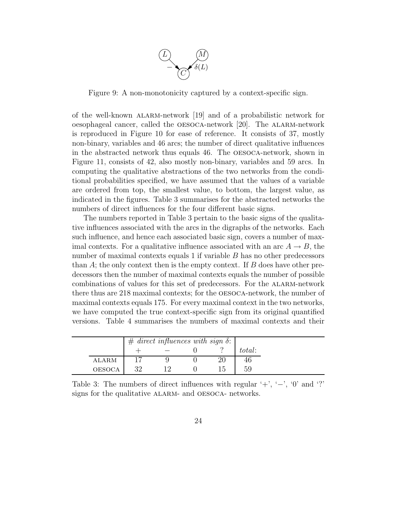

Figure 9: A non-monotonicity captured by a context-specific sign.

of the well-known alarm-network [19] and of a probabilistic network for oesophageal cancer, called the OESOCA-network [20]. The ALARM-network is reproduced in Figure 10 for ease of reference. It consists of 37, mostly non-binary, variables and 46 arcs; the number of direct qualitative influences in the abstracted network thus equals 46. The OESOCA-network, shown in Figure 11, consists of 42, also mostly non-binary, variables and 59 arcs. In computing the qualitative abstractions of the two networks from the conditional probabilities specified, we have assumed that the values of a variable are ordered from top, the smallest value, to bottom, the largest value, as indicated in the figures. Table 3 summarises for the abstracted networks the numbers of direct influences for the four different basic signs.

The numbers reported in Table 3 pertain to the basic signs of the qualitative influences associated with the arcs in the digraphs of the networks. Each such influence, and hence each associated basic sign, covers a number of maximal contexts. For a qualitative influence associated with an arc  $A \rightarrow B$ , the number of maximal contexts equals 1 if variable B has no other predecessors than  $A$ ; the only context then is the empty context. If  $B$  does have other predecessors then the number of maximal contexts equals the number of possible combinations of values for this set of predecessors. For the alarm-network there thus are 218 maximal contexts; for the oesoca-network, the number of maximal contexts equals 175. For every maximal context in the two networks, we have computed the true context-specific sign from its original quantified versions. Table 4 summarises the numbers of maximal contexts and their

|               |    | $\#$ direct influences with sign $\delta$ : |  |  |               |  |  |
|---------------|----|---------------------------------------------|--|--|---------------|--|--|
|               |    |                                             |  |  | <i>total:</i> |  |  |
| ALARM         |    |                                             |  |  |               |  |  |
| <b>OESOCA</b> | າາ |                                             |  |  | 59            |  |  |

Table 3: The numbers of direct influences with regular  $'$ +',  $'$ −',  $'0'$  and  $'$ ?' signs for the qualitative ALARM- and OESOCA- networks.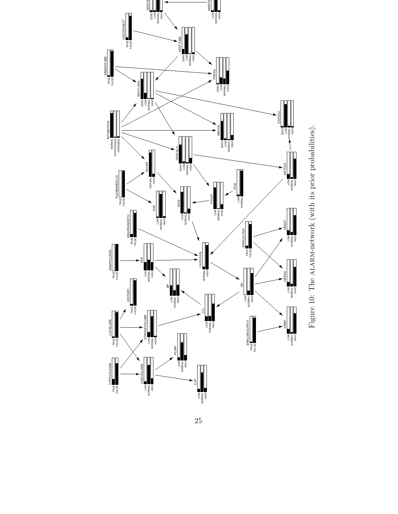



25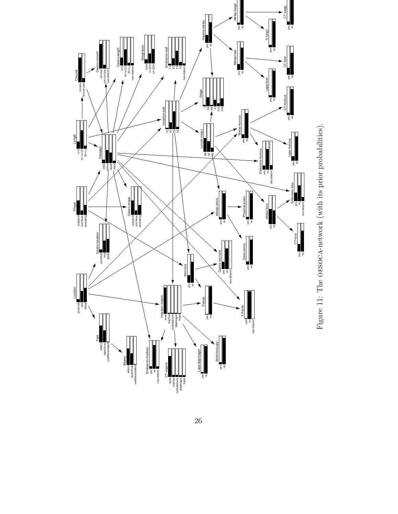

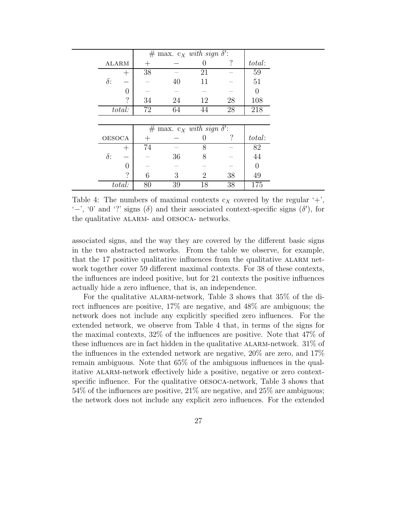|               |               | # max. $c_X$ with sign $\delta'$ : |                                      |                |                    |                  |
|---------------|---------------|------------------------------------|--------------------------------------|----------------|--------------------|------------------|
| <b>ALARM</b>  |               | $^+$                               |                                      |                | ?                  | <i>total:</i>    |
|               | $^+$          | 38                                 |                                      | 21             |                    | 59               |
| $\delta$ :    |               |                                    | 40                                   | 11             |                    | 51               |
|               | $\Omega$      |                                    |                                      |                |                    | $\left( \right)$ |
|               | $\mathcal{P}$ | 34                                 | 24                                   | 12             | 28                 | 108              |
|               | <i>total:</i> | 72                                 | 64                                   | 44             | 28                 | 218              |
|               |               |                                    |                                      |                |                    |                  |
|               |               |                                    | $#$ max. $c_X$ with sign $\delta'$ : |                |                    |                  |
| <b>OESOCA</b> |               | $^+$                               |                                      |                | $\overline{\cdot}$ | total:           |
|               | $^+$          | 74                                 |                                      | 8              |                    | 82               |
| $\delta$ :    |               |                                    | 36                                   | 8              |                    | 44               |
|               | $\theta$      |                                    |                                      |                |                    | $\left( \right)$ |
|               | $\gamma$      | 6                                  | 3                                    | $\overline{2}$ | 38                 | 49               |
|               | total:        | 80                                 | 39                                   | 18             | 38                 | 175              |

Table 4: The numbers of maximal contexts  $c_X$  covered by the regular '+',  $(-', '0'$  and '?' signs  $(\delta)$  and their associated context-specific signs  $(\delta')$ , for the qualitative ALARM- and OESOCA- networks.

associated signs, and the way they are covered by the different basic signs in the two abstracted networks. From the table we observe, for example, that the 17 positive qualitative influences from the qualitative alarm network together cover 59 different maximal contexts. For 38 of these contexts, the influences are indeed positive, but for 21 contexts the positive influences actually hide a zero influence, that is, an independence.

For the qualitative ALARM-network, Table 3 shows that  $35\%$  of the direct influences are positive, 17% are negative, and 48% are ambiguous; the network does not include any explicitly specified zero influences. For the extended network, we observe from Table 4 that, in terms of the signs for the maximal contexts, 32% of the influences are positive. Note that 47% of these influences are in fact hidden in the qualitative  $ALARM$ -network.  $31\%$  of the influences in the extended network are negative, 20% are zero, and 17% remain ambiguous. Note that 65% of the ambiguous influences in the qualitative alarm-network effectively hide a positive, negative or zero contextspecific influence. For the qualitative oesoca-network, Table 3 shows that 54% of the influences are positive, 21% are negative, and 25% are ambiguous; the network does not include any explicit zero influences. For the extended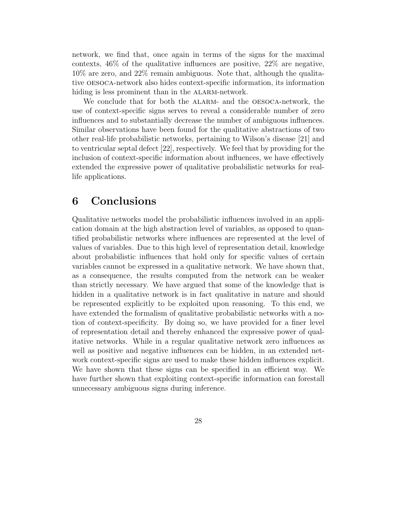network, we find that, once again in terms of the signs for the maximal contexts, 46% of the qualitative influences are positive, 22% are negative, 10% are zero, and 22% remain ambiguous. Note that, although the qualitative oesoca-network also hides context-specific information, its information hiding is less prominent than in the ALARM-network.

We conclude that for both the ALARM- and the OESOCA-network, the use of context-specific signs serves to reveal a considerable number of zero influences and to substantially decrease the number of ambiguous influences. Similar observations have been found for the qualitative abstractions of two other real-life probabilistic networks, pertaining to Wilson's disease [21] and to ventricular septal defect [22], respectively. We feel that by providing for the inclusion of context-specific information about influences, we have effectively extended the expressive power of qualitative probabilistic networks for reallife applications.

## **6 Conclusions**

Qualitative networks model the probabilistic influences involved in an application domain at the high abstraction level of variables, as opposed to quantified probabilistic networks where influences are represented at the level of values of variables. Due to this high level of representation detail, knowledge about probabilistic influences that hold only for specific values of certain variables cannot be expressed in a qualitative network. We have shown that, as a consequence, the results computed from the network can be weaker than strictly necessary. We have argued that some of the knowledge that is hidden in a qualitative network is in fact qualitative in nature and should be represented explicitly to be exploited upon reasoning. To this end, we have extended the formalism of qualitative probabilistic networks with a notion of context-specificity. By doing so, we have provided for a finer level of representation detail and thereby enhanced the expressive power of qualitative networks. While in a regular qualitative network zero influences as well as positive and negative influences can be hidden, in an extended network context-specific signs are used to make these hidden influences explicit. We have shown that these signs can be specified in an efficient way. We have further shown that exploiting context-specific information can forestall unnecessary ambiguous signs during inference.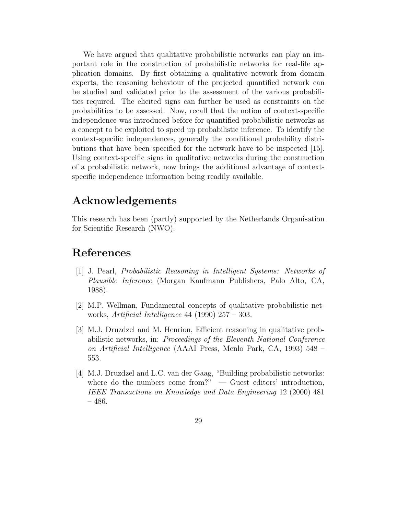We have argued that qualitative probabilistic networks can play an important role in the construction of probabilistic networks for real-life application domains. By first obtaining a qualitative network from domain experts, the reasoning behaviour of the projected quantified network can be studied and validated prior to the assessment of the various probabilities required. The elicited signs can further be used as constraints on the probabilities to be assessed. Now, recall that the notion of context-specific independence was introduced before for quantified probabilistic networks as a concept to be exploited to speed up probabilistic inference. To identify the context-specific independences, generally the conditional probability distributions that have been specified for the network have to be inspected [15]. Using context-specific signs in qualitative networks during the construction of a probabilistic network, now brings the additional advantage of contextspecific independence information being readily available.

## **Acknowledgements**

This research has been (partly) supported by the Netherlands Organisation for Scientific Research (NWO).

## **References**

- [1] J. Pearl, Probabilistic Reasoning in Intelligent Systems: Networks of Plausible Inference (Morgan Kaufmann Publishers, Palo Alto, CA, 1988).
- [2] M.P. Wellman, Fundamental concepts of qualitative probabilistic networks, Artificial Intelligence 44 (1990) 257 – 303.
- [3] M.J. Druzdzel and M. Henrion, Efficient reasoning in qualitative probabilistic networks, in: Proceedings of the Eleventh National Conference on Artificial Intelligence (AAAI Press, Menlo Park, CA, 1993) 548 – 553.
- [4] M.J. Druzdzel and L.C. van der Gaag, "Building probabilistic networks: where do the numbers come from?"  $\qquad$  Guest editors' introduction, IEEE Transactions on Knowledge and Data Engineering 12 (2000) 481 – 486.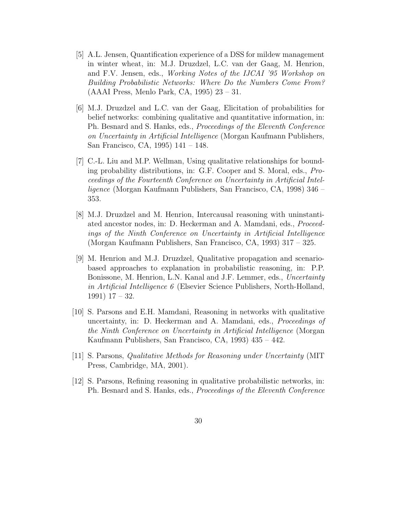- [5] A.L. Jensen, Quantification experience of a DSS for mildew management in winter wheat, in: M.J. Druzdzel, L.C. van der Gaag, M. Henrion, and F.V. Jensen, eds., Working Notes of the IJCAI '95 Workshop on Building Probabilistic Networks: Where Do the Numbers Come From? (AAAI Press, Menlo Park, CA, 1995) 23 – 31.
- [6] M.J. Druzdzel and L.C. van der Gaag, Elicitation of probabilities for belief networks: combining qualitative and quantitative information, in: Ph. Besnard and S. Hanks, eds., Proceedings of the Eleventh Conference on Uncertainty in Artificial Intelligence (Morgan Kaufmann Publishers, San Francisco, CA, 1995) 141 – 148.
- [7] C.-L. Liu and M.P. Wellman, Using qualitative relationships for bounding probability distributions, in: G.F. Cooper and S. Moral, eds., Proceedings of the Fourteenth Conference on Uncertainty in Artificial Intelligence (Morgan Kaufmann Publishers, San Francisco, CA, 1998) 346 – 353.
- [8] M.J. Druzdzel and M. Henrion, Intercausal reasoning with uninstantiated ancestor nodes, in: D. Heckerman and A. Mamdani, eds., Proceedings of the Ninth Conference on Uncertainty in Artificial Intelligence (Morgan Kaufmann Publishers, San Francisco, CA, 1993) 317 – 325.
- [9] M. Henrion and M.J. Druzdzel, Qualitative propagation and scenariobased approaches to explanation in probabilistic reasoning, in: P.P. Bonissone, M. Henrion, L.N. Kanal and J.F. Lemmer, eds., Uncertainty in Artificial Intelligence 6 (Elsevier Science Publishers, North-Holland, 1991) 17 – 32.
- [10] S. Parsons and E.H. Mamdani, Reasoning in networks with qualitative uncertainty, in: D. Heckerman and A. Mamdani, eds., Proceedings of the Ninth Conference on Uncertainty in Artificial Intelligence (Morgan Kaufmann Publishers, San Francisco, CA, 1993) 435 – 442.
- [11] S. Parsons, Qualitative Methods for Reasoning under Uncertainty (MIT Press, Cambridge, MA, 2001).
- [12] S. Parsons, Refining reasoning in qualitative probabilistic networks, in: Ph. Besnard and S. Hanks, eds., Proceedings of the Eleventh Conference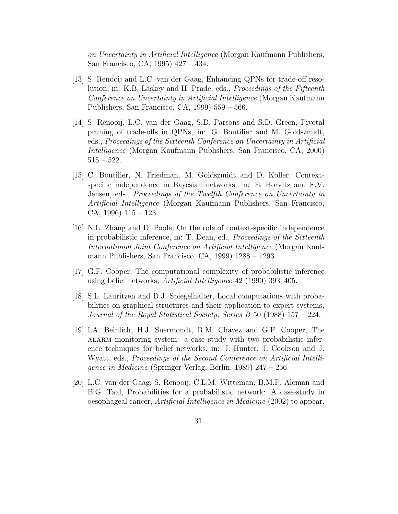on Uncertainty in Artificial Intelligence (Morgan Kaufmann Publishers, San Francisco, CA, 1995) 427 – 434.

- [13] S. Renooij and L.C. van der Gaag, Enhancing QPNs for trade-off resolution, in: K.B. Laskey and H. Prade, eds., Proceedings of the Fifteenth Conference on Uncertainty in Artificial Intelligence (Morgan Kaufmann Publishers, San Francisco, CA, 1999) 559 – 566.
- [14] S. Renooij, L.C. van der Gaag, S.D. Parsons and S.D. Green, Pivotal pruning of trade-offs in QPNs, in: G. Boutilier and M. Goldszmidt, eds., Proceedings of the Sixteenth Conference on Uncertainty in Artificial Intelligence (Morgan Kaufmann Publishers, San Francisco, CA, 2000) 515 – 522.
- [15] C. Boutilier, N. Friedman, M. Goldszmidt and D. Koller, Contextspecific independence in Bayesian networks, in: E. Horvitz and F.V. Jensen, eds., Proceedings of the Twelfth Conference on Uncertainty in Artificial Intelligence (Morgan Kaufmann Publishers, San Francisco, CA,  $1996$ )  $115 - 123$ .
- [16] N.L. Zhang and D. Poole, On the role of context-specific independence in probabilistic inference, in: T. Dean, ed., Proceedings of the Sixteenth International Joint Conference on Artificial Intelligence (Morgan Kaufmann Publishers, San Francisco, CA, 1999) 1288 – 1293.
- [17] G.F. Cooper, The computational complexity of probabilistic inference using belief networks, Artificial Intelligence 42 (1990) 393–405.
- [18] S.L. Lauritzen and D.J. Spiegelhalter, Local computations with probabilities on graphical structures and their application to expert systems, Journal of the Royal Statistical Society, Series B 50 (1988) 157 – 224.
- [19] I.A. Beinlich, H.J. Suermondt, R.M. Chavez and G.F. Cooper, The alarm monitoring system: a case study with two probabilistic inference techniques for belief networks, in: J. Hunter, J. Cookson and J. Wyatt, eds., Proceedings of the Second Conference on Artificial Intelligence in Medicine (Springer-Verlag, Berlin, 1989) 247 – 256.
- [20] L.C. van der Gaag, S. Renooij, C.L.M. Witteman, B.M.P. Aleman and B.G. Taal, Probabilities for a probabilistic network: A case-study in oesophageal cancer, Artificial Intelligence in Medicine (2002) to appear.